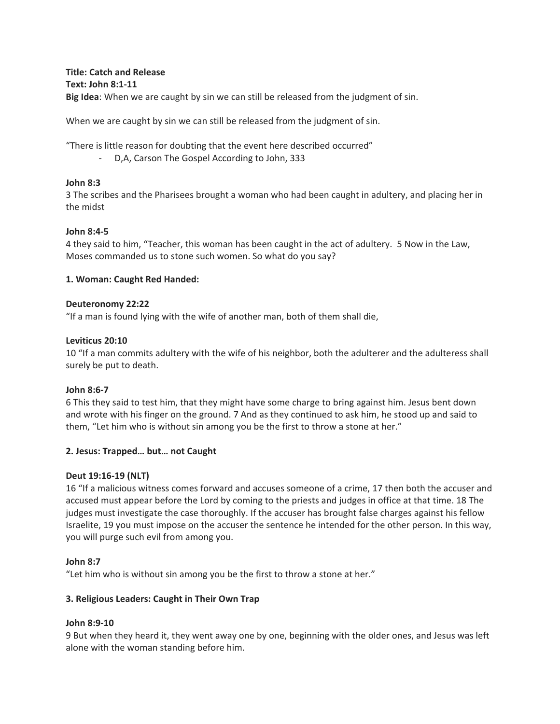**Title: Catch and Release Text: John 8:1-11 Big Idea**: When we are caught by sin we can still be released from the judgment of sin.

When we are caught by sin we can still be released from the judgment of sin.

"There is little reason for doubting that the event here described occurred"

- D,A, Carson The Gospel According to John, 333

## **John 8:3**

3 The scribes and the Pharisees brought a woman who had been caught in adultery, and placing her in the midst

## **John 8:4-5**

4 they said to him, "Teacher, this woman has been caught in the act of adultery. 5 Now in the Law, Moses commanded us to stone such women. So what do you say?

## **1. Woman: Caught Red Handed:**

## **Deuteronomy 22:22**

"If a man is found lying with the wife of another man, both of them shall die,

## **Leviticus 20:10**

10 "If a man commits adultery with the wife of his neighbor, both the adulterer and the adulteress shall surely be put to death.

# **John 8:6-7**

6 This they said to test him, that they might have some charge to bring against him. Jesus bent down and wrote with his finger on the ground. 7 And as they continued to ask him, he stood up and said to them, "Let him who is without sin among you be the first to throw a stone at her."

# **2. Jesus: Trapped… but… not Caught**

#### **Deut 19:16-19 (NLT)**

16 "If a malicious witness comes forward and accuses someone of a crime, 17 then both the accuser and accused must appear before the Lord by coming to the priests and judges in office at that time. 18 The judges must investigate the case thoroughly. If the accuser has brought false charges against his fellow Israelite, 19 you must impose on the accuser the sentence he intended for the other person. In this way, you will purge such evil from among you.

#### **John 8:7**

"Let him who is without sin among you be the first to throw a stone at her."

# **3. Religious Leaders: Caught in Their Own Trap**

#### **John 8:9-10**

9 But when they heard it, they went away one by one, beginning with the older ones, and Jesus was left alone with the woman standing before him.